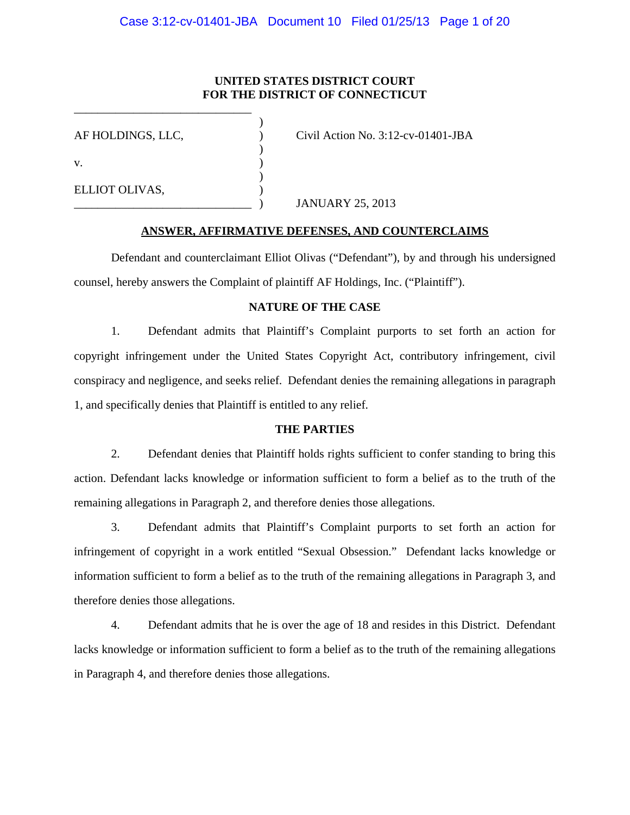# **UNITED STATES DISTRICT COURT FOR THE DISTRICT OF CONNECTICUT**

| AF HOLDINGS, LLC, | Civil Action No. $3:12$ -cv-01401-JBA |
|-------------------|---------------------------------------|
| V.                |                                       |
| ELLIOT OLIVAS,    | <b>JANUARY 25, 2013</b>               |

\_\_\_\_\_\_\_\_\_\_\_\_\_\_\_\_\_\_\_\_\_\_\_\_\_\_\_\_\_\_

# **ANSWER, AFFIRMATIVE DEFENSES, AND COUNTERCLAIMS**

 Defendant and counterclaimant Elliot Olivas ("Defendant"), by and through his undersigned counsel, hereby answers the Complaint of plaintiff AF Holdings, Inc. ("Plaintiff").

## **NATURE OF THE CASE**

 1. Defendant admits that Plaintiff's Complaint purports to set forth an action for copyright infringement under the United States Copyright Act, contributory infringement, civil conspiracy and negligence, and seeks relief. Defendant denies the remaining allegations in paragraph 1, and specifically denies that Plaintiff is entitled to any relief.

### **THE PARTIES**

 2. Defendant denies that Plaintiff holds rights sufficient to confer standing to bring this action. Defendant lacks knowledge or information sufficient to form a belief as to the truth of the remaining allegations in Paragraph 2, and therefore denies those allegations.

 3. Defendant admits that Plaintiff's Complaint purports to set forth an action for infringement of copyright in a work entitled "Sexual Obsession." Defendant lacks knowledge or information sufficient to form a belief as to the truth of the remaining allegations in Paragraph 3, and therefore denies those allegations.

 4. Defendant admits that he is over the age of 18 and resides in this District. Defendant lacks knowledge or information sufficient to form a belief as to the truth of the remaining allegations in Paragraph 4, and therefore denies those allegations.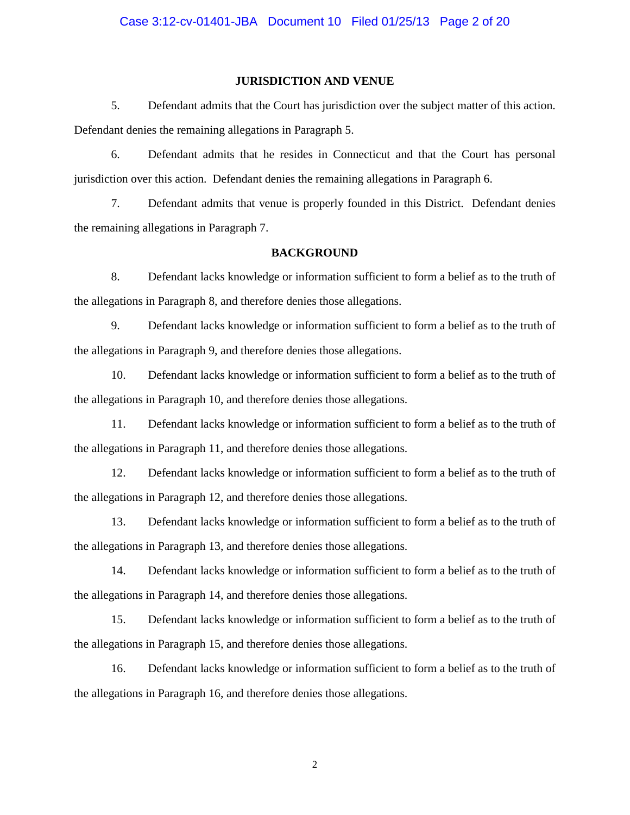#### **JURISDICTION AND VENUE**

 5. Defendant admits that the Court has jurisdiction over the subject matter of this action. Defendant denies the remaining allegations in Paragraph 5.

 6. Defendant admits that he resides in Connecticut and that the Court has personal jurisdiction over this action. Defendant denies the remaining allegations in Paragraph 6.

 7. Defendant admits that venue is properly founded in this District. Defendant denies the remaining allegations in Paragraph 7.

#### **BACKGROUND**

 8. Defendant lacks knowledge or information sufficient to form a belief as to the truth of the allegations in Paragraph 8, and therefore denies those allegations.

 9. Defendant lacks knowledge or information sufficient to form a belief as to the truth of the allegations in Paragraph 9, and therefore denies those allegations.

 10. Defendant lacks knowledge or information sufficient to form a belief as to the truth of the allegations in Paragraph 10, and therefore denies those allegations.

 11. Defendant lacks knowledge or information sufficient to form a belief as to the truth of the allegations in Paragraph 11, and therefore denies those allegations.

 12. Defendant lacks knowledge or information sufficient to form a belief as to the truth of the allegations in Paragraph 12, and therefore denies those allegations.

 13. Defendant lacks knowledge or information sufficient to form a belief as to the truth of the allegations in Paragraph 13, and therefore denies those allegations.

 14. Defendant lacks knowledge or information sufficient to form a belief as to the truth of the allegations in Paragraph 14, and therefore denies those allegations.

 15. Defendant lacks knowledge or information sufficient to form a belief as to the truth of the allegations in Paragraph 15, and therefore denies those allegations.

 16. Defendant lacks knowledge or information sufficient to form a belief as to the truth of the allegations in Paragraph 16, and therefore denies those allegations.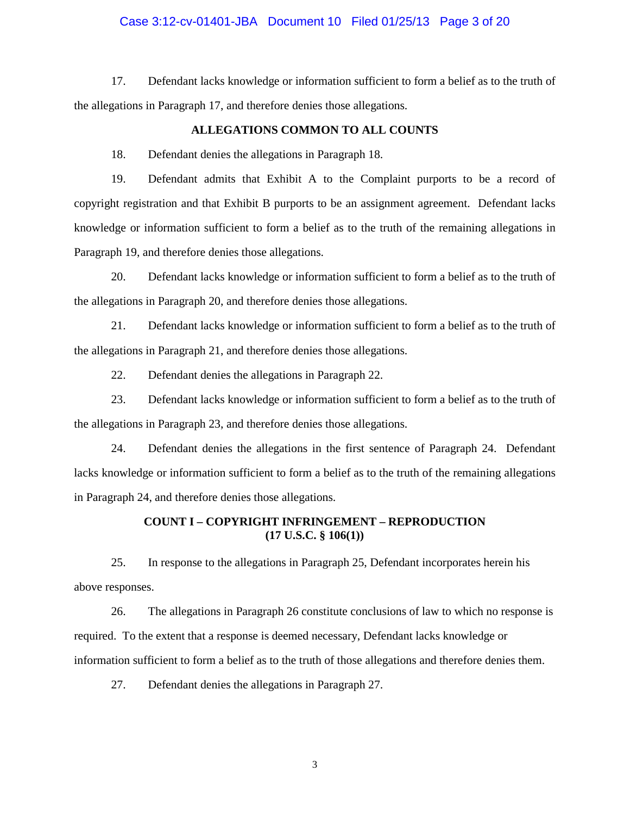#### Case 3:12-cv-01401-JBA Document 10 Filed 01/25/13 Page 3 of 20

 17. Defendant lacks knowledge or information sufficient to form a belief as to the truth of the allegations in Paragraph 17, and therefore denies those allegations.

#### **ALLEGATIONS COMMON TO ALL COUNTS**

18. Defendant denies the allegations in Paragraph 18.

 19. Defendant admits that Exhibit A to the Complaint purports to be a record of copyright registration and that Exhibit B purports to be an assignment agreement. Defendant lacks knowledge or information sufficient to form a belief as to the truth of the remaining allegations in Paragraph 19, and therefore denies those allegations.

 20. Defendant lacks knowledge or information sufficient to form a belief as to the truth of the allegations in Paragraph 20, and therefore denies those allegations.

 21. Defendant lacks knowledge or information sufficient to form a belief as to the truth of the allegations in Paragraph 21, and therefore denies those allegations.

22. Defendant denies the allegations in Paragraph 22.

 23. Defendant lacks knowledge or information sufficient to form a belief as to the truth of the allegations in Paragraph 23, and therefore denies those allegations.

 24. Defendant denies the allegations in the first sentence of Paragraph 24. Defendant lacks knowledge or information sufficient to form a belief as to the truth of the remaining allegations in Paragraph 24, and therefore denies those allegations.

# **COUNT I – COPYRIGHT INFRINGEMENT – REPRODUCTION (17 U.S.C. § 106(1))**

 25. In response to the allegations in Paragraph 25, Defendant incorporates herein his above responses.

 26. The allegations in Paragraph 26 constitute conclusions of law to which no response is required. To the extent that a response is deemed necessary, Defendant lacks knowledge or information sufficient to form a belief as to the truth of those allegations and therefore denies them.

27. Defendant denies the allegations in Paragraph 27.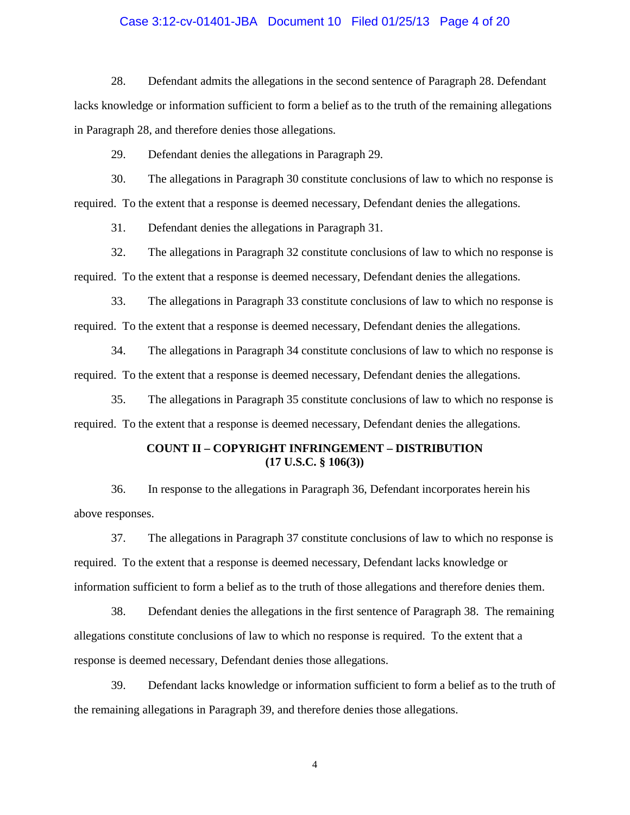#### Case 3:12-cv-01401-JBA Document 10 Filed 01/25/13 Page 4 of 20

 28. Defendant admits the allegations in the second sentence of Paragraph 28. Defendant lacks knowledge or information sufficient to form a belief as to the truth of the remaining allegations in Paragraph 28, and therefore denies those allegations.

29. Defendant denies the allegations in Paragraph 29.

 30. The allegations in Paragraph 30 constitute conclusions of law to which no response is required. To the extent that a response is deemed necessary, Defendant denies the allegations.

31. Defendant denies the allegations in Paragraph 31.

 32. The allegations in Paragraph 32 constitute conclusions of law to which no response is required. To the extent that a response is deemed necessary, Defendant denies the allegations.

 33. The allegations in Paragraph 33 constitute conclusions of law to which no response is required. To the extent that a response is deemed necessary, Defendant denies the allegations.

 34. The allegations in Paragraph 34 constitute conclusions of law to which no response is required. To the extent that a response is deemed necessary, Defendant denies the allegations.

 35. The allegations in Paragraph 35 constitute conclusions of law to which no response is required. To the extent that a response is deemed necessary, Defendant denies the allegations.

# **COUNT II – COPYRIGHT INFRINGEMENT – DISTRIBUTION (17 U.S.C. § 106(3))**

 36. In response to the allegations in Paragraph 36, Defendant incorporates herein his above responses.

 37. The allegations in Paragraph 37 constitute conclusions of law to which no response is required. To the extent that a response is deemed necessary, Defendant lacks knowledge or information sufficient to form a belief as to the truth of those allegations and therefore denies them.

 38. Defendant denies the allegations in the first sentence of Paragraph 38. The remaining allegations constitute conclusions of law to which no response is required. To the extent that a response is deemed necessary, Defendant denies those allegations.

 39. Defendant lacks knowledge or information sufficient to form a belief as to the truth of the remaining allegations in Paragraph 39, and therefore denies those allegations.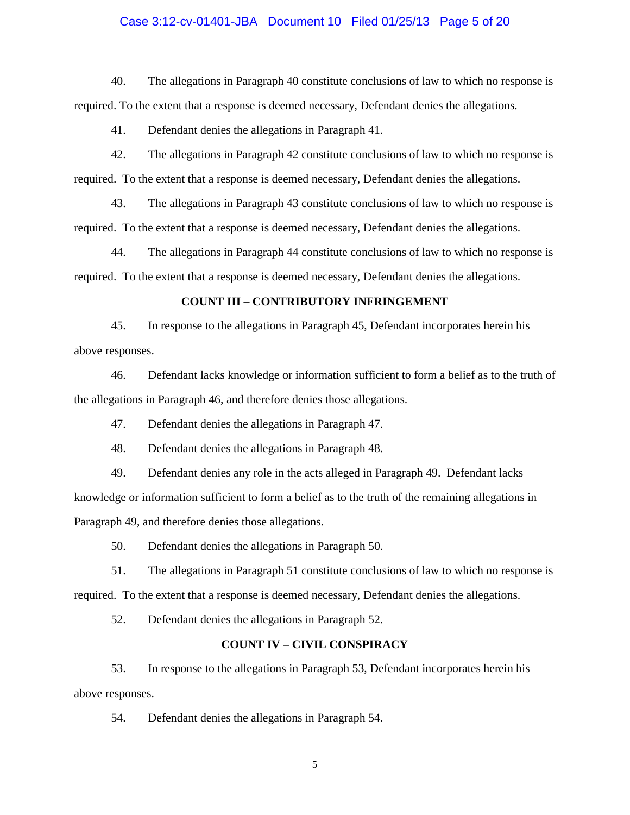#### Case 3:12-cv-01401-JBA Document 10 Filed 01/25/13 Page 5 of 20

 40. The allegations in Paragraph 40 constitute conclusions of law to which no response is required. To the extent that a response is deemed necessary, Defendant denies the allegations.

41. Defendant denies the allegations in Paragraph 41.

 42. The allegations in Paragraph 42 constitute conclusions of law to which no response is required. To the extent that a response is deemed necessary, Defendant denies the allegations.

 43. The allegations in Paragraph 43 constitute conclusions of law to which no response is required. To the extent that a response is deemed necessary, Defendant denies the allegations.

 44. The allegations in Paragraph 44 constitute conclusions of law to which no response is required. To the extent that a response is deemed necessary, Defendant denies the allegations.

#### **COUNT III – CONTRIBUTORY INFRINGEMENT**

 45. In response to the allegations in Paragraph 45, Defendant incorporates herein his above responses.

 46. Defendant lacks knowledge or information sufficient to form a belief as to the truth of the allegations in Paragraph 46, and therefore denies those allegations.

47. Defendant denies the allegations in Paragraph 47.

48. Defendant denies the allegations in Paragraph 48.

 49. Defendant denies any role in the acts alleged in Paragraph 49. Defendant lacks knowledge or information sufficient to form a belief as to the truth of the remaining allegations in Paragraph 49, and therefore denies those allegations.

50. Defendant denies the allegations in Paragraph 50.

 51. The allegations in Paragraph 51 constitute conclusions of law to which no response is required. To the extent that a response is deemed necessary, Defendant denies the allegations.

52. Defendant denies the allegations in Paragraph 52.

### **COUNT IV – CIVIL CONSPIRACY**

 53. In response to the allegations in Paragraph 53, Defendant incorporates herein his above responses.

54. Defendant denies the allegations in Paragraph 54.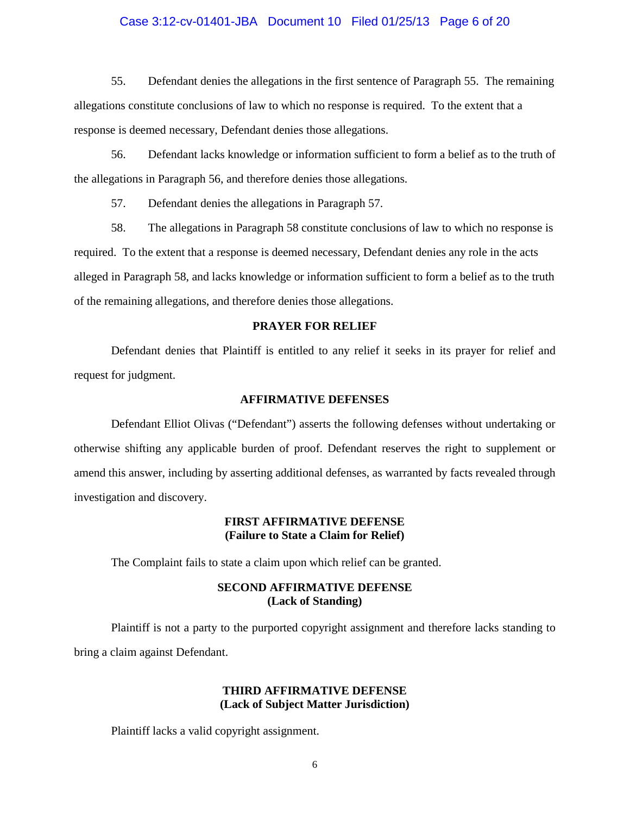#### Case 3:12-cv-01401-JBA Document 10 Filed 01/25/13 Page 6 of 20

 55. Defendant denies the allegations in the first sentence of Paragraph 55. The remaining allegations constitute conclusions of law to which no response is required. To the extent that a response is deemed necessary, Defendant denies those allegations.

 56. Defendant lacks knowledge or information sufficient to form a belief as to the truth of the allegations in Paragraph 56, and therefore denies those allegations.

57. Defendant denies the allegations in Paragraph 57.

 58. The allegations in Paragraph 58 constitute conclusions of law to which no response is required. To the extent that a response is deemed necessary, Defendant denies any role in the acts alleged in Paragraph 58, and lacks knowledge or information sufficient to form a belief as to the truth of the remaining allegations, and therefore denies those allegations.

#### **PRAYER FOR RELIEF**

 Defendant denies that Plaintiff is entitled to any relief it seeks in its prayer for relief and request for judgment.

#### **AFFIRMATIVE DEFENSES**

 Defendant Elliot Olivas ("Defendant") asserts the following defenses without undertaking or otherwise shifting any applicable burden of proof. Defendant reserves the right to supplement or amend this answer, including by asserting additional defenses, as warranted by facts revealed through investigation and discovery.

#### **FIRST AFFIRMATIVE DEFENSE (Failure to State a Claim for Relief)**

The Complaint fails to state a claim upon which relief can be granted.

### **SECOND AFFIRMATIVE DEFENSE (Lack of Standing)**

 Plaintiff is not a party to the purported copyright assignment and therefore lacks standing to bring a claim against Defendant.

# **THIRD AFFIRMATIVE DEFENSE (Lack of Subject Matter Jurisdiction)**

Plaintiff lacks a valid copyright assignment.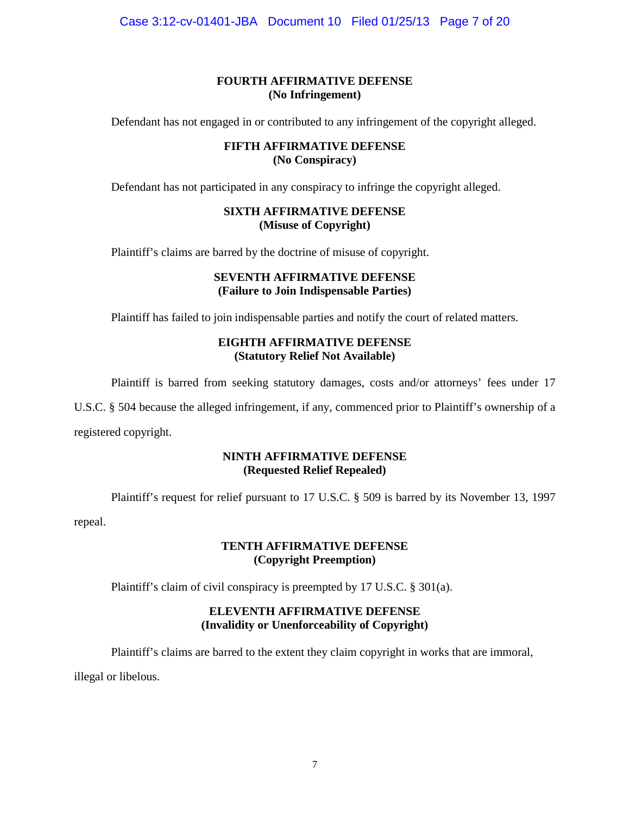Case 3:12-cv-01401-JBA Document 10 Filed 01/25/13 Page 7 of 20

# **FOURTH AFFIRMATIVE DEFENSE (No Infringement)**

Defendant has not engaged in or contributed to any infringement of the copyright alleged.

## **FIFTH AFFIRMATIVE DEFENSE (No Conspiracy)**

Defendant has not participated in any conspiracy to infringe the copyright alleged.

# **SIXTH AFFIRMATIVE DEFENSE (Misuse of Copyright)**

Plaintiff's claims are barred by the doctrine of misuse of copyright.

## **SEVENTH AFFIRMATIVE DEFENSE (Failure to Join Indispensable Parties)**

Plaintiff has failed to join indispensable parties and notify the court of related matters.

## **EIGHTH AFFIRMATIVE DEFENSE (Statutory Relief Not Available)**

Plaintiff is barred from seeking statutory damages, costs and/or attorneys' fees under 17

U.S.C. § 504 because the alleged infringement, if any, commenced prior to Plaintiff's ownership of a

registered copyright.

# **NINTH AFFIRMATIVE DEFENSE (Requested Relief Repealed)**

Plaintiff's request for relief pursuant to 17 U.S.C. § 509 is barred by its November 13, 1997

repeal.

# **TENTH AFFIRMATIVE DEFENSE (Copyright Preemption)**

Plaintiff's claim of civil conspiracy is preempted by 17 U.S.C. § 301(a).

# **ELEVENTH AFFIRMATIVE DEFENSE (Invalidity or Unenforceability of Copyright)**

Plaintiff's claims are barred to the extent they claim copyright in works that are immoral,

illegal or libelous.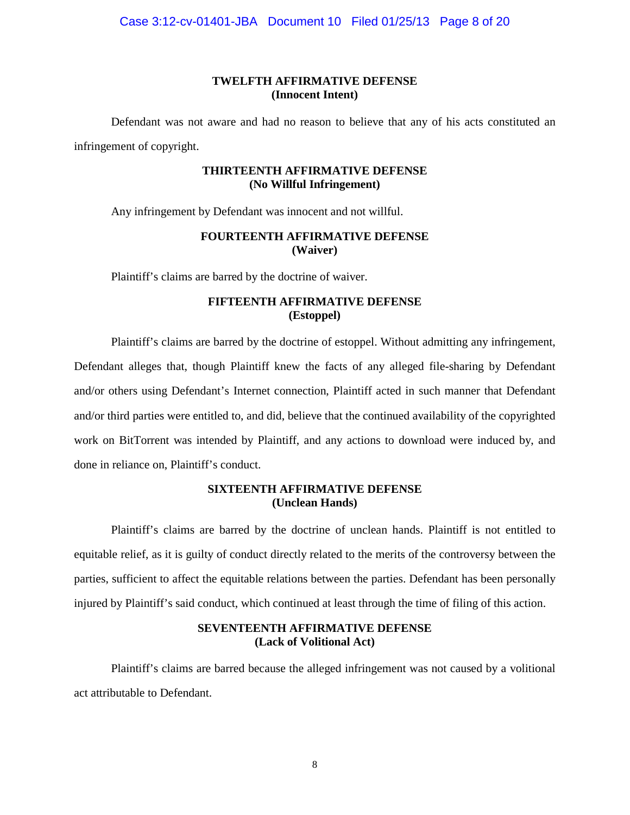# **TWELFTH AFFIRMATIVE DEFENSE (Innocent Intent)**

 Defendant was not aware and had no reason to believe that any of his acts constituted an infringement of copyright.

#### **THIRTEENTH AFFIRMATIVE DEFENSE (No Willful Infringement)**

Any infringement by Defendant was innocent and not willful.

## **FOURTEENTH AFFIRMATIVE DEFENSE (Waiver)**

Plaintiff's claims are barred by the doctrine of waiver.

### **FIFTEENTH AFFIRMATIVE DEFENSE (Estoppel)**

 Plaintiff's claims are barred by the doctrine of estoppel. Without admitting any infringement, Defendant alleges that, though Plaintiff knew the facts of any alleged file-sharing by Defendant and/or others using Defendant's Internet connection, Plaintiff acted in such manner that Defendant and/or third parties were entitled to, and did, believe that the continued availability of the copyrighted work on BitTorrent was intended by Plaintiff, and any actions to download were induced by, and done in reliance on, Plaintiff's conduct.

### **SIXTEENTH AFFIRMATIVE DEFENSE (Unclean Hands)**

 Plaintiff's claims are barred by the doctrine of unclean hands. Plaintiff is not entitled to equitable relief, as it is guilty of conduct directly related to the merits of the controversy between the parties, sufficient to affect the equitable relations between the parties. Defendant has been personally injured by Plaintiff's said conduct, which continued at least through the time of filing of this action.

## **SEVENTEENTH AFFIRMATIVE DEFENSE (Lack of Volitional Act)**

 Plaintiff's claims are barred because the alleged infringement was not caused by a volitional act attributable to Defendant.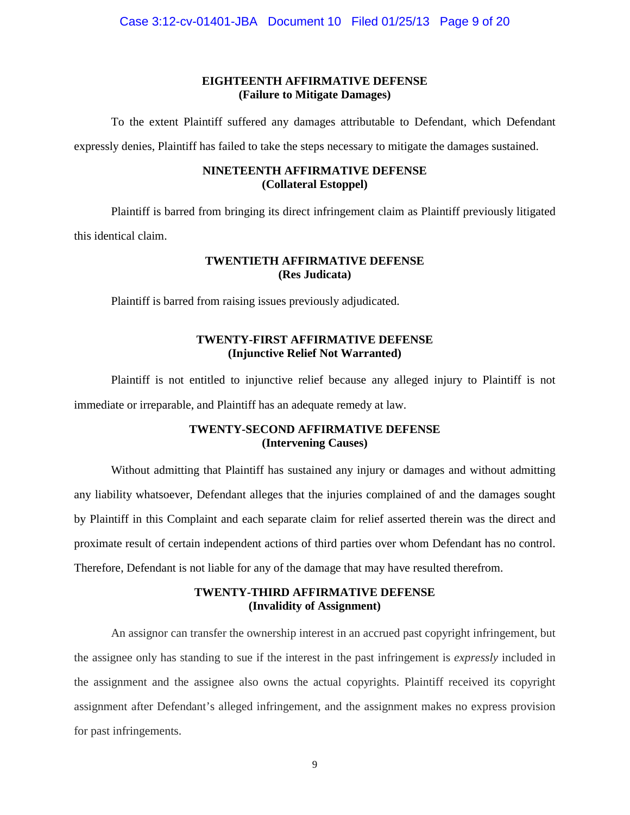# **EIGHTEENTH AFFIRMATIVE DEFENSE (Failure to Mitigate Damages)**

 To the extent Plaintiff suffered any damages attributable to Defendant, which Defendant expressly denies, Plaintiff has failed to take the steps necessary to mitigate the damages sustained.

### **NINETEENTH AFFIRMATIVE DEFENSE (Collateral Estoppel)**

 Plaintiff is barred from bringing its direct infringement claim as Plaintiff previously litigated this identical claim.

### **TWENTIETH AFFIRMATIVE DEFENSE (Res Judicata)**

Plaintiff is barred from raising issues previously adjudicated.

# **TWENTY-FIRST AFFIRMATIVE DEFENSE (Injunctive Relief Not Warranted)**

 Plaintiff is not entitled to injunctive relief because any alleged injury to Plaintiff is not immediate or irreparable, and Plaintiff has an adequate remedy at law.

# **TWENTY-SECOND AFFIRMATIVE DEFENSE (Intervening Causes)**

 Without admitting that Plaintiff has sustained any injury or damages and without admitting any liability whatsoever, Defendant alleges that the injuries complained of and the damages sought by Plaintiff in this Complaint and each separate claim for relief asserted therein was the direct and proximate result of certain independent actions of third parties over whom Defendant has no control. Therefore, Defendant is not liable for any of the damage that may have resulted therefrom.

# **TWENTY-THIRD AFFIRMATIVE DEFENSE (Invalidity of Assignment)**

 An assignor can transfer the ownership interest in an accrued past copyright infringement, but the assignee only has standing to sue if the interest in the past infringement is *expressly* included in the assignment and the assignee also owns the actual copyrights. Plaintiff received its copyright assignment after Defendant's alleged infringement, and the assignment makes no express provision for past infringements.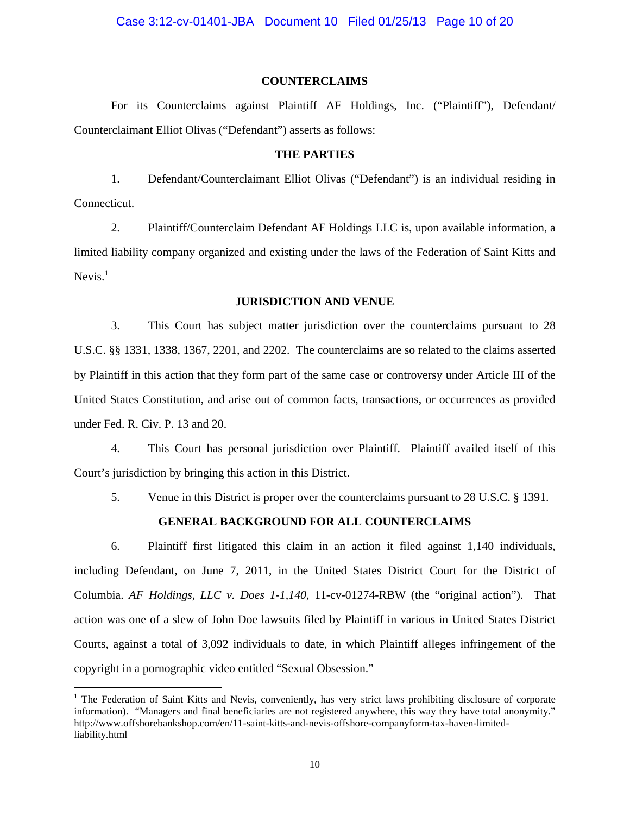#### **COUNTERCLAIMS**

 For its Counterclaims against Plaintiff AF Holdings, Inc. ("Plaintiff"), Defendant/ Counterclaimant Elliot Olivas ("Defendant") asserts as follows:

#### **THE PARTIES**

 1. Defendant/Counterclaimant Elliot Olivas ("Defendant") is an individual residing in Connecticut.

 2. Plaintiff/Counterclaim Defendant AF Holdings LLC is, upon available information, a limited liability company organized and existing under the laws of the Federation of Saint Kitts and Nevis. $<sup>1</sup>$ </sup>

#### **JURISDICTION AND VENUE**

 3. This Court has subject matter jurisdiction over the counterclaims pursuant to 28 U.S.C. §§ 1331, 1338, 1367, 2201, and 2202. The counterclaims are so related to the claims asserted by Plaintiff in this action that they form part of the same case or controversy under Article III of the United States Constitution, and arise out of common facts, transactions, or occurrences as provided under Fed. R. Civ. P. 13 and 20.

 4. This Court has personal jurisdiction over Plaintiff. Plaintiff availed itself of this Court's jurisdiction by bringing this action in this District.

5. Venue in this District is proper over the counterclaims pursuant to 28 U.S.C. § 1391.

### **GENERAL BACKGROUND FOR ALL COUNTERCLAIMS**

6. Plaintiff first litigated this claim in an action it filed against 1,140 individuals, including Defendant, on June 7, 2011, in the United States District Court for the District of Columbia. *AF Holdings, LLC v. Does 1-1,140*, 11-cv-01274-RBW (the "original action"). That action was one of a slew of John Doe lawsuits filed by Plaintiff in various in United States District Courts, against a total of 3,092 individuals to date, in which Plaintiff alleges infringement of the copyright in a pornographic video entitled "Sexual Obsession."

<u>.</u>

<sup>&</sup>lt;sup>1</sup> The Federation of Saint Kitts and Nevis, conveniently, has very strict laws prohibiting disclosure of corporate information). "Managers and final beneficiaries are not registered anywhere, this way they have total anonymity." http://www.offshorebankshop.com/en/11-saint-kitts-and-nevis-offshore-companyform-tax-haven-limitedliability.html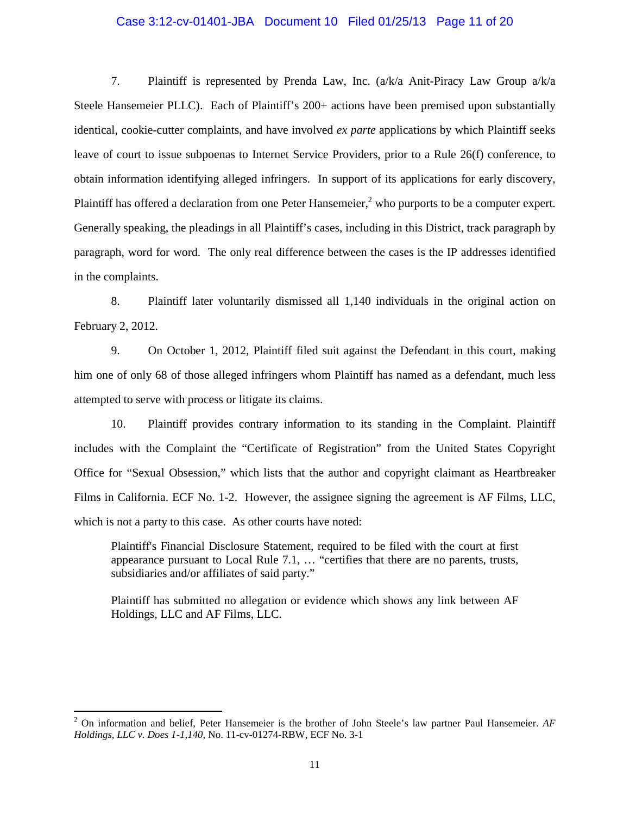# Case 3:12-cv-01401-JBA Document 10 Filed 01/25/13 Page 11 of 20

 7. Plaintiff is represented by Prenda Law, Inc. (a/k/a Anit-Piracy Law Group a/k/a Steele Hansemeier PLLC). Each of Plaintiff's 200+ actions have been premised upon substantially identical, cookie-cutter complaints, and have involved *ex parte* applications by which Plaintiff seeks leave of court to issue subpoenas to Internet Service Providers, prior to a Rule 26(f) conference, to obtain information identifying alleged infringers. In support of its applications for early discovery, Plaintiff has offered a declaration from one Peter Hansemeier,<sup>2</sup> who purports to be a computer expert. Generally speaking, the pleadings in all Plaintiff's cases, including in this District, track paragraph by paragraph, word for word. The only real difference between the cases is the IP addresses identified in the complaints.

 8. Plaintiff later voluntarily dismissed all 1,140 individuals in the original action on February 2, 2012.

 9. On October 1, 2012, Plaintiff filed suit against the Defendant in this court, making him one of only 68 of those alleged infringers whom Plaintiff has named as a defendant, much less attempted to serve with process or litigate its claims.

 10. Plaintiff provides contrary information to its standing in the Complaint. Plaintiff includes with the Complaint the "Certificate of Registration" from the United States Copyright Office for "Sexual Obsession," which lists that the author and copyright claimant as Heartbreaker Films in California. ECF No. 1-2. However, the assignee signing the agreement is AF Films, LLC, which is not a party to this case. As other courts have noted:

Plaintiff's Financial Disclosure Statement, required to be filed with the court at first appearance pursuant to Local Rule 7.1, … "certifies that there are no parents, trusts, subsidiaries and/or affiliates of said party."

Plaintiff has submitted no allegation or evidence which shows any link between AF Holdings, LLC and AF Films, LLC.

 2 On information and belief, Peter Hansemeier is the brother of John Steele's law partner Paul Hansemeier. *AF Holdings, LLC v. Does 1-1,140*, No. 11-cv-01274-RBW, ECF No. 3-1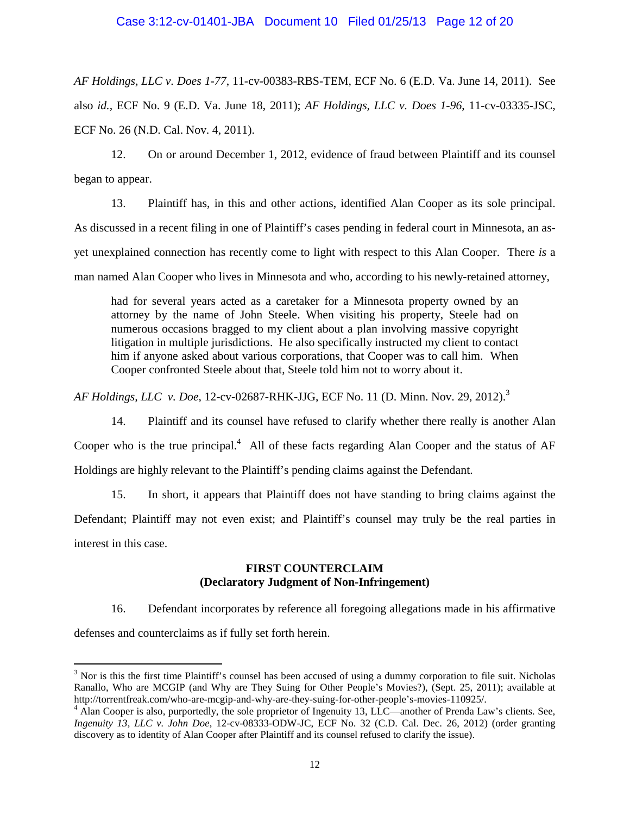*AF Holdings, LLC v. Does 1-77*, 11-cv-00383-RBS-TEM, ECF No. 6 (E.D. Va. June 14, 2011). See also *id.,* ECF No. 9 (E.D. Va. June 18, 2011); *AF Holdings, LLC v. Does 1-96*, 11-cv-03335-JSC, ECF No. 26 (N.D. Cal. Nov. 4, 2011).

 12. On or around December 1, 2012, evidence of fraud between Plaintiff and its counsel began to appear.

 13. Plaintiff has, in this and other actions, identified Alan Cooper as its sole principal. As discussed in a recent filing in one of Plaintiff's cases pending in federal court in Minnesota, an asyet unexplained connection has recently come to light with respect to this Alan Cooper. There *is* a man named Alan Cooper who lives in Minnesota and who, according to his newly-retained attorney,

had for several years acted as a caretaker for a Minnesota property owned by an attorney by the name of John Steele. When visiting his property, Steele had on numerous occasions bragged to my client about a plan involving massive copyright litigation in multiple jurisdictions. He also specifically instructed my client to contact him if anyone asked about various corporations, that Cooper was to call him. When Cooper confronted Steele about that, Steele told him not to worry about it.

*AF Holdings, LLC v. Doe*, 12-cv-02687-RHK-JJG, ECF No. 11 (D. Minn. Nov. 29, 2012).<sup>3</sup>

 14. Plaintiff and its counsel have refused to clarify whether there really is another Alan Cooper who is the true principal. $4$  All of these facts regarding Alan Cooper and the status of AF Holdings are highly relevant to the Plaintiff's pending claims against the Defendant.

 15. In short, it appears that Plaintiff does not have standing to bring claims against the Defendant; Plaintiff may not even exist; and Plaintiff's counsel may truly be the real parties in interest in this case.

## **FIRST COUNTERCLAIM (Declaratory Judgment of Non-Infringement)**

 16. Defendant incorporates by reference all foregoing allegations made in his affirmative defenses and counterclaims as if fully set forth herein.

-

 $3$  Nor is this the first time Plaintiff's counsel has been accused of using a dummy corporation to file suit. Nicholas Ranallo, Who are MCGIP (and Why are They Suing for Other People's Movies?), (Sept. 25, 2011); available at http://torrentfreak.com/who-are-mcgip-and-why-are-they-suing-for-other-people's-movies-110925/.

<sup>&</sup>lt;sup>4</sup> Alan Cooper is also, purportedly, the sole proprietor of Ingenuity 13, LLC—another of Prenda Law's clients. See, *Ingenuity 13, LLC v. John Doe*, 12-cv-08333-ODW-JC, ECF No. 32 (C.D. Cal. Dec. 26, 2012) (order granting discovery as to identity of Alan Cooper after Plaintiff and its counsel refused to clarify the issue).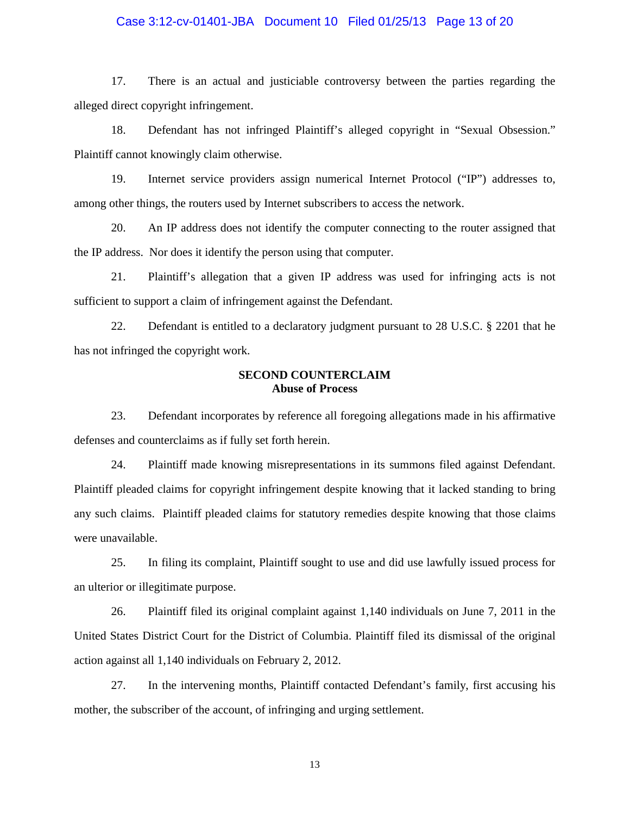# Case 3:12-cv-01401-JBA Document 10 Filed 01/25/13 Page 13 of 20

 17. There is an actual and justiciable controversy between the parties regarding the alleged direct copyright infringement.

 18. Defendant has not infringed Plaintiff's alleged copyright in "Sexual Obsession." Plaintiff cannot knowingly claim otherwise.

 19. Internet service providers assign numerical Internet Protocol ("IP") addresses to, among other things, the routers used by Internet subscribers to access the network.

 20. An IP address does not identify the computer connecting to the router assigned that the IP address. Nor does it identify the person using that computer.

 21. Plaintiff's allegation that a given IP address was used for infringing acts is not sufficient to support a claim of infringement against the Defendant.

 22. Defendant is entitled to a declaratory judgment pursuant to 28 U.S.C. § 2201 that he has not infringed the copyright work.

### **SECOND COUNTERCLAIM Abuse of Process**

 23. Defendant incorporates by reference all foregoing allegations made in his affirmative defenses and counterclaims as if fully set forth herein.

 24. Plaintiff made knowing misrepresentations in its summons filed against Defendant. Plaintiff pleaded claims for copyright infringement despite knowing that it lacked standing to bring any such claims. Plaintiff pleaded claims for statutory remedies despite knowing that those claims were unavailable.

 25. In filing its complaint, Plaintiff sought to use and did use lawfully issued process for an ulterior or illegitimate purpose.

 26. Plaintiff filed its original complaint against 1,140 individuals on June 7, 2011 in the United States District Court for the District of Columbia. Plaintiff filed its dismissal of the original action against all 1,140 individuals on February 2, 2012.

 27. In the intervening months, Plaintiff contacted Defendant's family, first accusing his mother, the subscriber of the account, of infringing and urging settlement.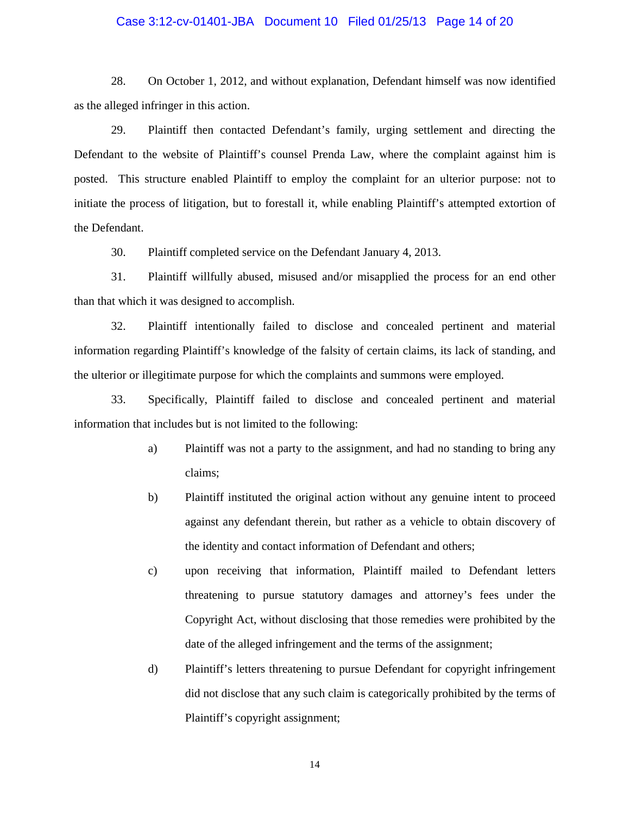# Case 3:12-cv-01401-JBA Document 10 Filed 01/25/13 Page 14 of 20

 28. On October 1, 2012, and without explanation, Defendant himself was now identified as the alleged infringer in this action.

 29. Plaintiff then contacted Defendant's family, urging settlement and directing the Defendant to the website of Plaintiff's counsel Prenda Law, where the complaint against him is posted. This structure enabled Plaintiff to employ the complaint for an ulterior purpose: not to initiate the process of litigation, but to forestall it, while enabling Plaintiff's attempted extortion of the Defendant.

30. Plaintiff completed service on the Defendant January 4, 2013.

 31. Plaintiff willfully abused, misused and/or misapplied the process for an end other than that which it was designed to accomplish.

 32. Plaintiff intentionally failed to disclose and concealed pertinent and material information regarding Plaintiff's knowledge of the falsity of certain claims, its lack of standing, and the ulterior or illegitimate purpose for which the complaints and summons were employed.

 33. Specifically, Plaintiff failed to disclose and concealed pertinent and material information that includes but is not limited to the following:

- a) Plaintiff was not a party to the assignment, and had no standing to bring any claims;
- b) Plaintiff instituted the original action without any genuine intent to proceed against any defendant therein, but rather as a vehicle to obtain discovery of the identity and contact information of Defendant and others;
- c) upon receiving that information, Plaintiff mailed to Defendant letters threatening to pursue statutory damages and attorney's fees under the Copyright Act, without disclosing that those remedies were prohibited by the date of the alleged infringement and the terms of the assignment;
- d) Plaintiff's letters threatening to pursue Defendant for copyright infringement did not disclose that any such claim is categorically prohibited by the terms of Plaintiff's copyright assignment;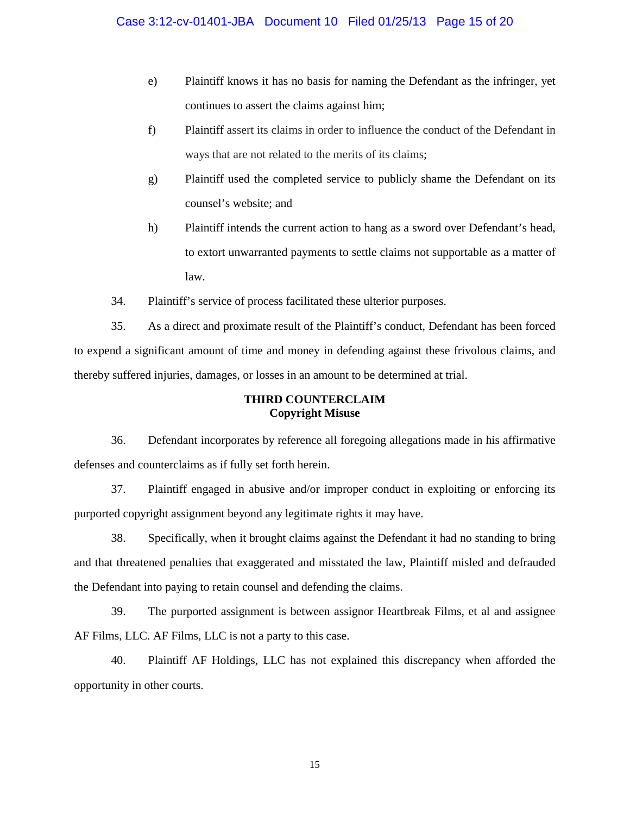- e) Plaintiff knows it has no basis for naming the Defendant as the infringer, yet continues to assert the claims against him;
- f) Plaintiff assert its claims in order to influence the conduct of the Defendant in ways that are not related to the merits of its claims;
- g) Plaintiff used the completed service to publicly shame the Defendant on its counsel's website; and
- h) Plaintiff intends the current action to hang as a sword over Defendant's head, to extort unwarranted payments to settle claims not supportable as a matter of law.
- 34. Plaintiff's service of process facilitated these ulterior purposes.

 35. As a direct and proximate result of the Plaintiff's conduct, Defendant has been forced to expend a significant amount of time and money in defending against these frivolous claims, and thereby suffered injuries, damages, or losses in an amount to be determined at trial.

## **THIRD COUNTERCLAIM Copyright Misuse**

 36. Defendant incorporates by reference all foregoing allegations made in his affirmative defenses and counterclaims as if fully set forth herein.

 37. Plaintiff engaged in abusive and/or improper conduct in exploiting or enforcing its purported copyright assignment beyond any legitimate rights it may have.

 38. Specifically, when it brought claims against the Defendant it had no standing to bring and that threatened penalties that exaggerated and misstated the law, Plaintiff misled and defrauded the Defendant into paying to retain counsel and defending the claims.

 39. The purported assignment is between assignor Heartbreak Films, et al and assignee AF Films, LLC. AF Films, LLC is not a party to this case.

 40. Plaintiff AF Holdings, LLC has not explained this discrepancy when afforded the opportunity in other courts.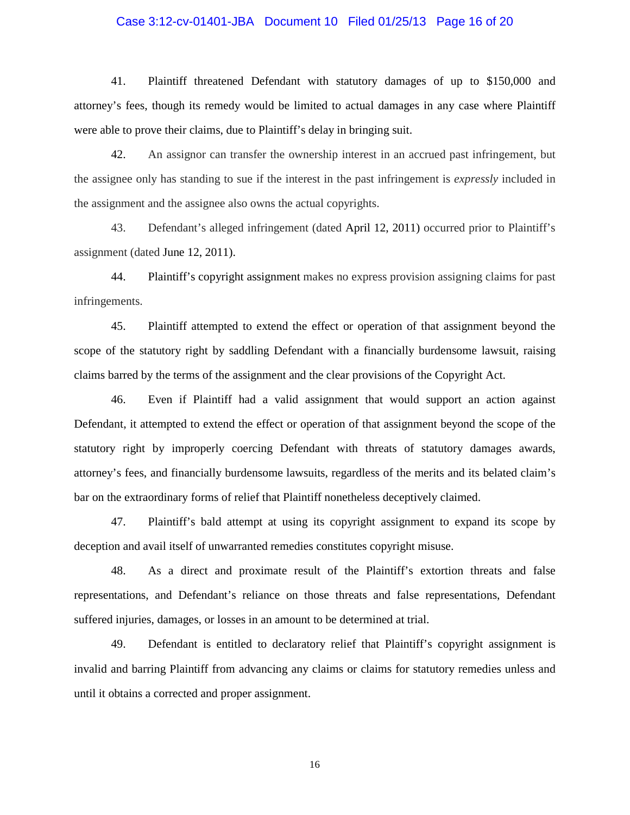# Case 3:12-cv-01401-JBA Document 10 Filed 01/25/13 Page 16 of 20

 41. Plaintiff threatened Defendant with statutory damages of up to \$150,000 and attorney's fees, though its remedy would be limited to actual damages in any case where Plaintiff were able to prove their claims, due to Plaintiff's delay in bringing suit.

 42. An assignor can transfer the ownership interest in an accrued past infringement, but the assignee only has standing to sue if the interest in the past infringement is *expressly* included in the assignment and the assignee also owns the actual copyrights.

 43. Defendant's alleged infringement (dated April 12, 2011) occurred prior to Plaintiff's assignment (dated June 12, 2011).

 44. Plaintiff's copyright assignment makes no express provision assigning claims for past infringements.

 45. Plaintiff attempted to extend the effect or operation of that assignment beyond the scope of the statutory right by saddling Defendant with a financially burdensome lawsuit, raising claims barred by the terms of the assignment and the clear provisions of the Copyright Act.

 46. Even if Plaintiff had a valid assignment that would support an action against Defendant, it attempted to extend the effect or operation of that assignment beyond the scope of the statutory right by improperly coercing Defendant with threats of statutory damages awards, attorney's fees, and financially burdensome lawsuits, regardless of the merits and its belated claim's bar on the extraordinary forms of relief that Plaintiff nonetheless deceptively claimed.

 47. Plaintiff's bald attempt at using its copyright assignment to expand its scope by deception and avail itself of unwarranted remedies constitutes copyright misuse.

 48. As a direct and proximate result of the Plaintiff's extortion threats and false representations, and Defendant's reliance on those threats and false representations, Defendant suffered injuries, damages, or losses in an amount to be determined at trial.

 49. Defendant is entitled to declaratory relief that Plaintiff's copyright assignment is invalid and barring Plaintiff from advancing any claims or claims for statutory remedies unless and until it obtains a corrected and proper assignment.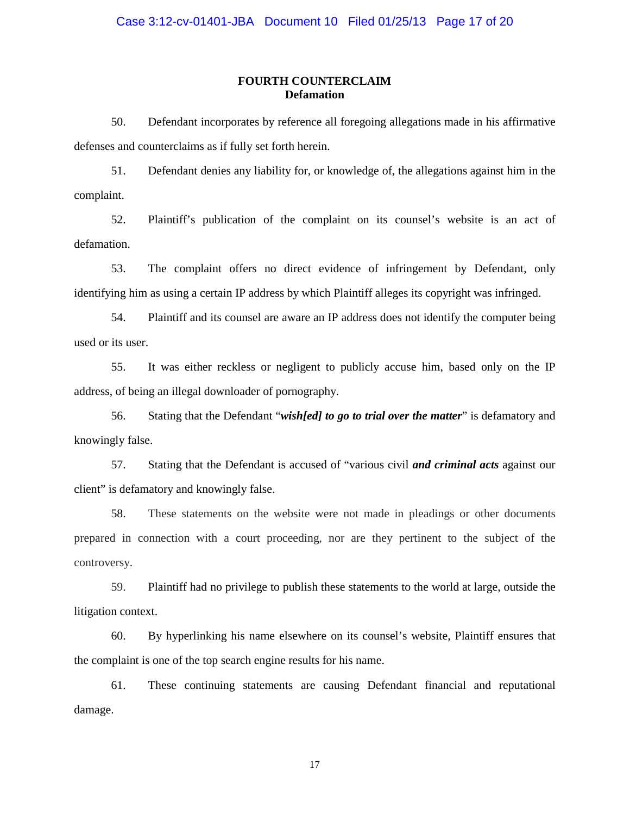## **FOURTH COUNTERCLAIM Defamation**

 50. Defendant incorporates by reference all foregoing allegations made in his affirmative defenses and counterclaims as if fully set forth herein.

 51. Defendant denies any liability for, or knowledge of, the allegations against him in the complaint.

 52. Plaintiff's publication of the complaint on its counsel's website is an act of defamation.

 53. The complaint offers no direct evidence of infringement by Defendant, only identifying him as using a certain IP address by which Plaintiff alleges its copyright was infringed.

 54. Plaintiff and its counsel are aware an IP address does not identify the computer being used or its user.

 55. It was either reckless or negligent to publicly accuse him, based only on the IP address, of being an illegal downloader of pornography.

 56. Stating that the Defendant "*wish[ed] to go to trial over the matter*" is defamatory and knowingly false.

 57. Stating that the Defendant is accused of "various civil *and criminal acts* against our client" is defamatory and knowingly false.

 58. These statements on the website were not made in pleadings or other documents prepared in connection with a court proceeding, nor are they pertinent to the subject of the controversy.

 59. Plaintiff had no privilege to publish these statements to the world at large, outside the litigation context.

 60. By hyperlinking his name elsewhere on its counsel's website, Plaintiff ensures that the complaint is one of the top search engine results for his name.

 61. These continuing statements are causing Defendant financial and reputational damage.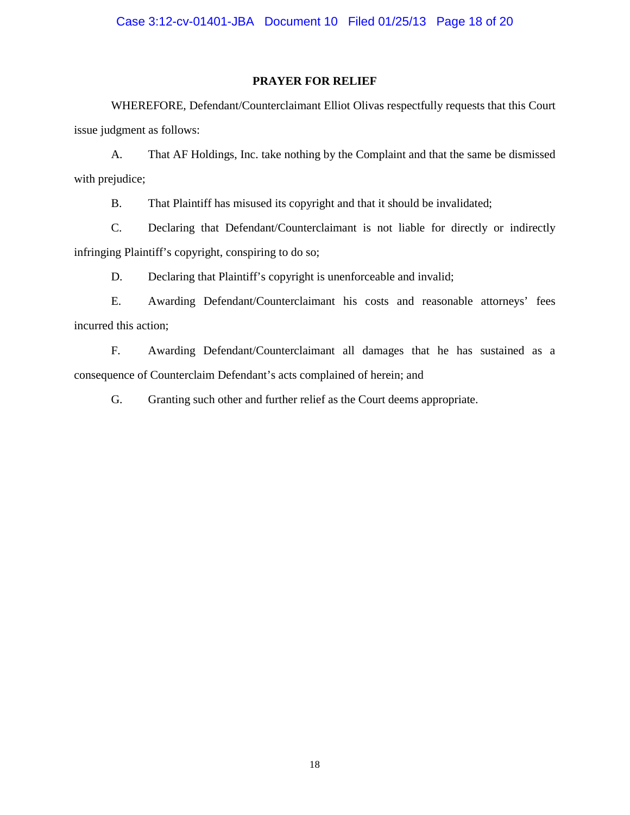### **PRAYER FOR RELIEF**

 WHEREFORE, Defendant/Counterclaimant Elliot Olivas respectfully requests that this Court issue judgment as follows:

 A. That AF Holdings, Inc. take nothing by the Complaint and that the same be dismissed with prejudice;

B. That Plaintiff has misused its copyright and that it should be invalidated;

 C. Declaring that Defendant/Counterclaimant is not liable for directly or indirectly infringing Plaintiff's copyright, conspiring to do so;

D. Declaring that Plaintiff's copyright is unenforceable and invalid;

 E. Awarding Defendant/Counterclaimant his costs and reasonable attorneys' fees incurred this action;

 F. Awarding Defendant/Counterclaimant all damages that he has sustained as a consequence of Counterclaim Defendant's acts complained of herein; and

G. Granting such other and further relief as the Court deems appropriate.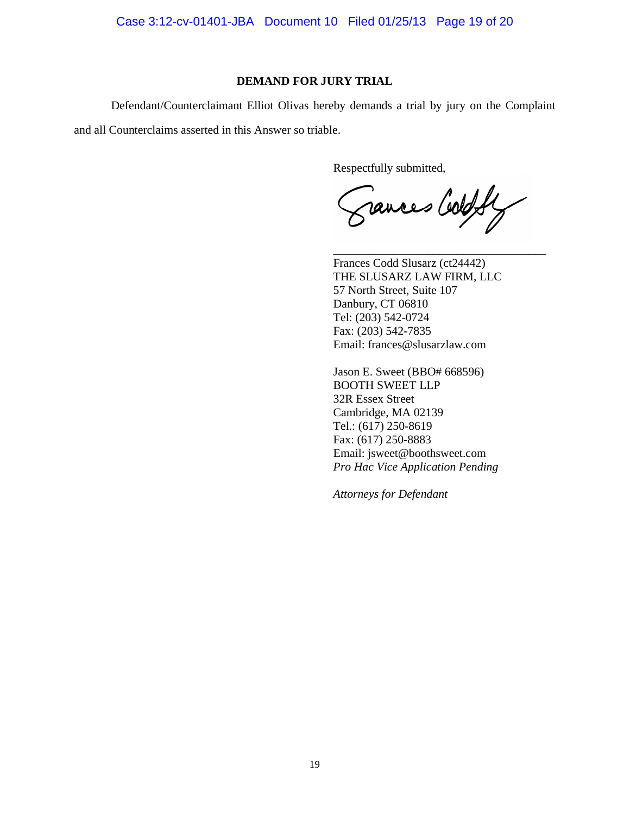Case 3:12-cv-01401-JBA Document 10 Filed 01/25/13 Page 19 of 20

## **DEMAND FOR JURY TRIAL**

 Defendant/Counterclaimant Elliot Olivas hereby demands a trial by jury on the Complaint and all Counterclaims asserted in this Answer so triable.

 $\frac{1}{2}$  ,  $\frac{1}{2}$  ,  $\frac{1}{2}$  ,  $\frac{1}{2}$  ,  $\frac{1}{2}$  ,  $\frac{1}{2}$  ,  $\frac{1}{2}$  ,  $\frac{1}{2}$  ,  $\frac{1}{2}$  ,  $\frac{1}{2}$  ,  $\frac{1}{2}$  ,  $\frac{1}{2}$  ,  $\frac{1}{2}$  ,  $\frac{1}{2}$  ,  $\frac{1}{2}$  ,  $\frac{1}{2}$  ,  $\frac{1}{2}$  ,  $\frac{1}{2}$  ,  $\frac{1$ 

Respectfully submitted,

rances Cold fly

Frances Codd Slusarz (ct24442) THE SLUSARZ LAW FIRM, LLC 57 North Street, Suite 107 Danbury, CT 06810 Tel: (203) 542-0724 Fax: (203) 542-7835 Email: frances@slusarzlaw.com

 Jason E. Sweet (BBO# 668596) BOOTH SWEET LLP 32R Essex Street Cambridge, MA 02139 Tel.: (617) 250-8619 Fax: (617) 250-8883 Email: jsweet@boothsweet.com *Pro Hac Vice Application Pending* 

 *Attorneys for Defendant*